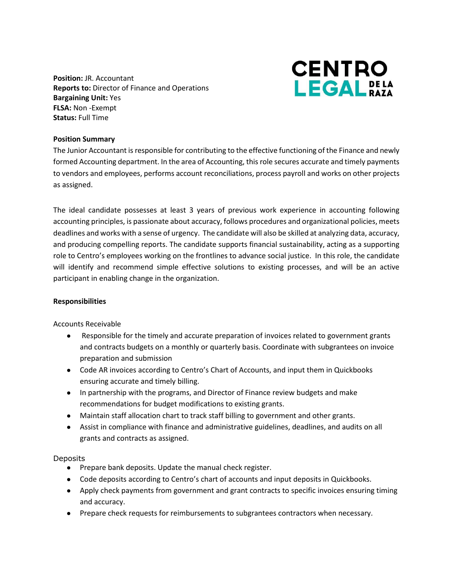**Position:** JR. Accountant **Reports to:** Director of Finance and Operations **Bargaining Unit:** Yes **FLSA:** Non -Exempt **Status:** Full Time



## **Position Summary**

The Junior Accountant is responsible for contributing to the effective functioning of the Finance and newly formed Accounting department. In the area of Accounting, this role secures accurate and timely payments to vendors and employees, performs account reconciliations, process payroll and works on other projects as assigned.

The ideal candidate possesses at least 3 years of previous work experience in accounting following accounting principles, is passionate about accuracy, follows procedures and organizational policies, meets deadlines and works with a sense of urgency. The candidate will also be skilled at analyzing data, accuracy, and producing compelling reports. The candidate supports financial sustainability, acting as a supporting role to Centro's employees working on the frontlines to advance social justice. In this role, the candidate will identify and recommend simple effective solutions to existing processes, and will be an active participant in enabling change in the organization.

### **Responsibilities**

Accounts Receivable

- Responsible for the timely and accurate preparation of invoices related to government grants and contracts budgets on a monthly or quarterly basis. Coordinate with subgrantees on invoice preparation and submission
- Code AR invoices according to Centro's Chart of Accounts, and input them in Quickbooks ensuring accurate and timely billing.
- In partnership with the programs, and Director of Finance review budgets and make recommendations for budget modifications to existing grants.
- Maintain staff allocation chart to track staff billing to government and other grants.
- Assist in compliance with finance and administrative guidelines, deadlines, and audits on all grants and contracts as assigned.

### **Deposits**

- Prepare bank deposits. Update the manual check register.
- Code deposits according to Centro's chart of accounts and input deposits in Quickbooks.
- Apply check payments from government and grant contracts to specific invoices ensuring timing and accuracy.
- Prepare check requests for reimbursements to subgrantees contractors when necessary.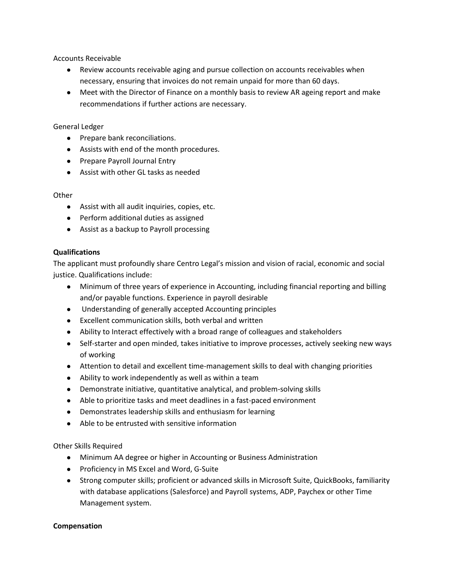Accounts Receivable

- Review accounts receivable aging and pursue collection on accounts receivables when necessary, ensuring that invoices do not remain unpaid for more than 60 days.
- Meet with the Director of Finance on a monthly basis to review AR ageing report and make recommendations if further actions are necessary.

# General Ledger

- Prepare bank reconciliations.
- Assists with end of the month procedures.
- Prepare Payroll Journal Entry
- Assist with other GL tasks as needed

# **Other**

- Assist with all audit inquiries, copies, etc.
- Perform additional duties as assigned
- Assist as a backup to Payroll processing

# **Qualifications**

The applicant must profoundly share Centro Legal's mission and vision of racial, economic and social justice. Qualifications include:

- Minimum of three years of experience in Accounting, including financial reporting and billing and/or payable functions. Experience in payroll desirable
- Understanding of generally accepted Accounting principles
- Excellent communication skills, both verbal and written
- Ability to Interact effectively with a broad range of colleagues and stakeholders
- Self-starter and open minded, takes initiative to improve processes, actively seeking new ways of working
- Attention to detail and excellent time-management skills to deal with changing priorities
- Ability to work independently as well as within a team
- Demonstrate initiative, quantitative analytical, and problem-solving skills
- Able to prioritize tasks and meet deadlines in a fast-paced environment
- Demonstrates leadership skills and enthusiasm for learning
- Able to be entrusted with sensitive information

### Other Skills Required

- Minimum AA degree or higher in Accounting or Business Administration
- Proficiency in MS Excel and Word, G-Suite
- Strong computer skills; proficient or advanced skills in Microsoft Suite, QuickBooks, familiarity with database applications (Salesforce) and Payroll systems, ADP, Paychex or other Time Management system.

### **Compensation**